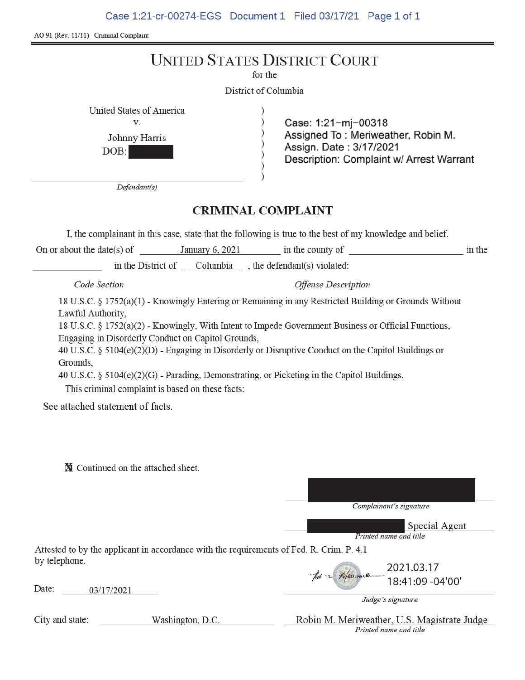Case 1:21-cr-00274-EGS Document 1 Filed 03/17/21 Page 1 of 1

AO 91 (Rev. 11/11) Criminal Complaint

|                                                         | for the<br>District of Columbia | <b>UNITED STATES DISTRICT COURT</b>                                                                                              |        |
|---------------------------------------------------------|---------------------------------|----------------------------------------------------------------------------------------------------------------------------------|--------|
| United States of America<br>V.<br>Johnny Harris<br>DOB: |                                 | Case: 1:21-mj-00318<br>Assigned To: Meriweather, Robin M.<br>Assign. Date: 3/17/2021<br>Description: Complaint w/ Arrest Warrant |        |
| Defendant(s)<br><b>CRIMINAL COMPLAINT</b>               |                                 |                                                                                                                                  |        |
|                                                         |                                 | I, the complainant in this case, state that the following is true to the best of my knowledge and belief.                        |        |
| On or about the date(s) of                              | January 6, 2021                 | in the county of                                                                                                                 | in the |

in the District of  $\_\_$ Columbia  $\_\_$ , the defendant(s) violated:

Code Section

**Offense Description** 

18 U.S.C. § 1752(a)(1) - Knowingly Entering or Remaining in any Restricted Building or Grounds Without Lawful Authority,

18 U.S.C. § 1752(a)(2) - Knowingly, With Intent to Impede Government Business or Official Functions, Engaging in Disorderly Conduct on Capitol Grounds,

40 U.S.C. § 5104(e)(2)(D) - Engaging in Disorderly or Disruptive Conduct on the Capitol Buildings or Grounds,

40 U.S.C. § 5104(e)(2)(G) - Parading, Demonstrating, or Picketing in the Capitol Buildings.

This criminal complaint is based on these facts:

See attached statement of facts.

N Continued on the attached sheet.

Complainant's signature

Special Agent Printed name and title

Attested to by the applicant in accordance with the requirements of Fed. R. Crim. P. 4.1 by telephone.

Date: 03/17/2021

2021.03.17 18:41:09 -04'00'

Judge's signature

Robin M. Meriweather, U.S. Magistrate Judge Printed name and title

City and state:

Washington, D.C.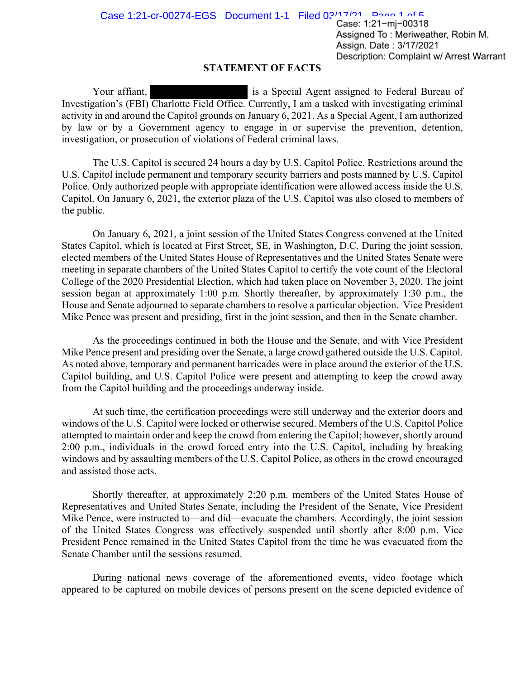## **STATEMENT OF FACTS**

Your affiant, is a Special Agent assigned to Federal Bureau of Investigation's (FBI) Charlotte Field Office. Currently, I am a tasked with investigating criminal activity in and around the Capitol grounds on January 6, 2021. As a Special Agent, I am authorized by law or by a Government agency to engage in or supervise the prevention, detention, investigation, or prosecution of violations of Federal criminal laws.

The U.S. Capitol is secured 24 hours a day by U.S. Capitol Police. Restrictions around the U.S. Capitol include permanent and temporary security barriers and posts manned by U.S. Capitol Police. Only authorized people with appropriate identification were allowed access inside the U.S. Capitol. On January 6, 2021, the exterior plaza of the U.S. Capitol was also closed to members of the public.

On January 6, 2021, a joint session of the United States Congress convened at the United States Capitol, which is located at First Street, SE, in Washington, D.C. During the joint session, elected members of the United States House of Representatives and the United States Senate were meeting in separate chambers of the United States Capitol to certify the vote count of the Electoral College of the 2020 Presidential Election, which had taken place on November 3, 2020. The joint session began at approximately 1:00 p.m. Shortly thereafter, by approximately 1:30 p.m., the House and Senate adjourned to separate chambers to resolve a particular objection. Vice President Mike Pence was present and presiding, first in the joint session, and then in the Senate chamber.

As the proceedings continued in both the House and the Senate, and with Vice President Mike Pence present and presiding over the Senate, a large crowd gathered outside the U.S. Capitol. As noted above, temporary and permanent barricades were in place around the exterior of the U.S. Capitol building, and U.S. Capitol Police were present and attempting to keep the crowd away from the Capitol building and the proceedings underway inside.

At such time, the certification proceedings were still underway and the exterior doors and windows of the U.S. Capitol were locked or otherwise secured. Members of the U.S. Capitol Police attempted to maintain order and keep the crowd from entering the Capitol; however, shortly around 2:00 p.m., individuals in the crowd forced entry into the U.S. Capitol, including by breaking windows and by assaulting members of the U.S. Capitol Police, as others in the crowd encouraged and assisted those acts.

Shortly thereafter, at approximately 2:20 p.m. members of the United States House of Representatives and United States Senate, including the President of the Senate, Vice President Mike Pence, were instructed to—and did—evacuate the chambers. Accordingly, the joint session of the United States Congress was effectively suspended until shortly after 8:00 p.m. Vice President Pence remained in the United States Capitol from the time he was evacuated from the Senate Chamber until the sessions resumed.

During national news coverage of the aforementioned events, video footage which appeared to be captured on mobile devices of persons present on the scene depicted evidence of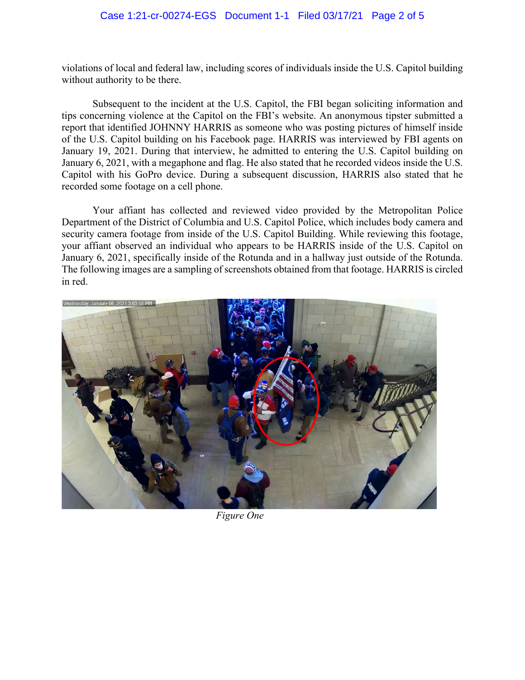## Case 1:21-cr-00274-EGS Document 1-1 Filed 03/17/21 Page 2 of 5

violations of local and federal law, including scores of individuals inside the U.S. Capitol building without authority to be there.

Subsequent to the incident at the U.S. Capitol, the FBI began soliciting information and tips concerning violence at the Capitol on the FBI's website. An anonymous tipster submitted a report that identified JOHNNY HARRIS as someone who was posting pictures of himself inside of the U.S. Capitol building on his Facebook page. HARRIS was interviewed by FBI agents on January 19, 2021. During that interview, he admitted to entering the U.S. Capitol building on January 6, 2021, with a megaphone and flag. He also stated that he recorded videos inside the U.S. Capitol with his GoPro device. During a subsequent discussion, HARRIS also stated that he recorded some footage on a cell phone.

Your affiant has collected and reviewed video provided by the Metropolitan Police Department of the District of Columbia and U.S. Capitol Police, which includes body camera and security camera footage from inside of the U.S. Capitol Building. While reviewing this footage, your affiant observed an individual who appears to be HARRIS inside of the U.S. Capitol on January 6, 2021, specifically inside of the Rotunda and in a hallway just outside of the Rotunda. The following images are a sampling of screenshots obtained from that footage. HARRIS is circled in red.



*Figure One*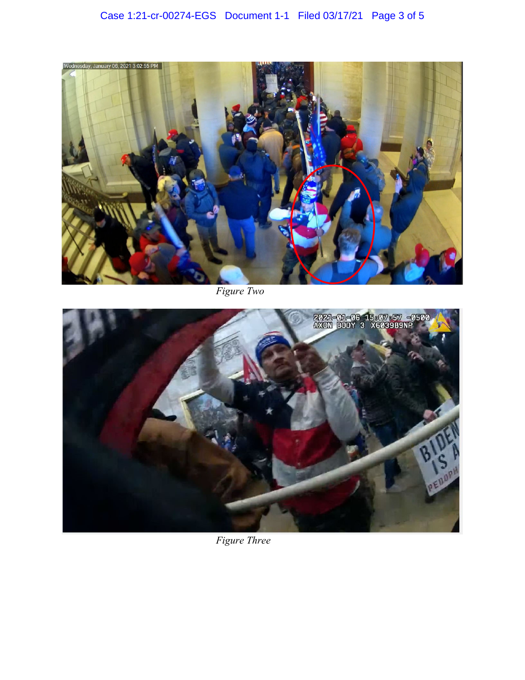

*Figure Two* 



*Figure Three*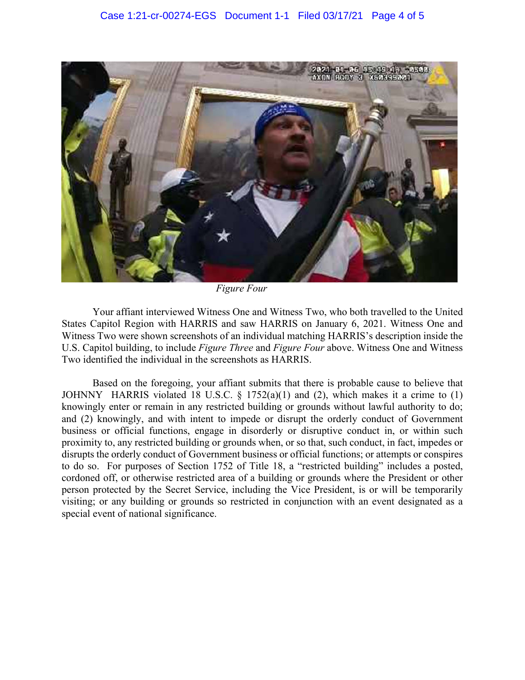

*Figure Four* 

Your affiant interviewed Witness One and Witness Two, who both travelled to the United States Capitol Region with HARRIS and saw HARRIS on January 6, 2021. Witness One and Witness Two were shown screenshots of an individual matching HARRIS's description inside the U.S. Capitol building, to include *Figure Three* and *Figure Four* above. Witness One and Witness Two identified the individual in the screenshots as HARRIS.

Based on the foregoing, your affiant submits that there is probable cause to believe that JOHNNY HARRIS violated 18 U.S.C.  $\S$  1752(a)(1) and (2), which makes it a crime to (1) knowingly enter or remain in any restricted building or grounds without lawful authority to do; and (2) knowingly, and with intent to impede or disrupt the orderly conduct of Government business or official functions, engage in disorderly or disruptive conduct in, or within such proximity to, any restricted building or grounds when, or so that, such conduct, in fact, impedes or disrupts the orderly conduct of Government business or official functions; or attempts or conspires to do so. For purposes of Section 1752 of Title 18, a "restricted building" includes a posted, cordoned off, or otherwise restricted area of a building or grounds where the President or other person protected by the Secret Service, including the Vice President, is or will be temporarily visiting; or any building or grounds so restricted in conjunction with an event designated as a special event of national significance.